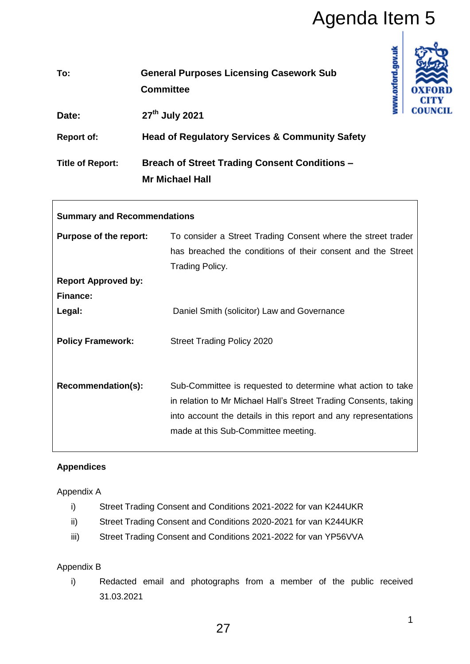| To:                     | <b>General Purposes Licensing Casework Sub</b><br><b>Committee</b>             |
|-------------------------|--------------------------------------------------------------------------------|
| Date:                   | 27 <sup>th</sup> July 2021                                                     |
| <b>Report of:</b>       | <b>Head of Regulatory Services &amp; Community Safety</b>                      |
| <b>Title of Report:</b> | <b>Breach of Street Trading Consent Conditions -</b><br><b>Mr Michael Hall</b> |

|                                                     |                               | Agenda Item 5                                                                                                                                                                                                                                                                |  |
|-----------------------------------------------------|-------------------------------|------------------------------------------------------------------------------------------------------------------------------------------------------------------------------------------------------------------------------------------------------------------------------|--|
| To:                                                 |                               | www.oxford.gov.uk<br><b>General Purposes Licensing Casework Sub</b><br><b>Committee</b>                                                                                                                                                                                      |  |
| Date:                                               |                               | COUN<br>27 <sup>th</sup> July 2021                                                                                                                                                                                                                                           |  |
| <b>Report of:</b>                                   |                               | <b>Head of Regulatory Services &amp; Community Safety</b>                                                                                                                                                                                                                    |  |
| <b>Title of Report:</b>                             |                               | <b>Breach of Street Trading Consent Conditions -</b><br><b>Mr Michael Hall</b>                                                                                                                                                                                               |  |
|                                                     |                               | <b>Summary and Recommendations</b>                                                                                                                                                                                                                                           |  |
|                                                     | <b>Purpose of the report:</b> | To consider a Street Trading Consent where the street trader<br>has breached the conditions of their consent and the Street<br>Trading Policy.                                                                                                                               |  |
|                                                     | <b>Report Approved by:</b>    |                                                                                                                                                                                                                                                                              |  |
| <b>Finance:</b><br>Legal:                           |                               | Daniel Smith (solicitor) Law and Governance                                                                                                                                                                                                                                  |  |
|                                                     | <b>Policy Framework:</b>      | <b>Street Trading Policy 2020</b>                                                                                                                                                                                                                                            |  |
|                                                     | Recommendation(s):            | Sub-Committee is requested to determine what action to take<br>in relation to Mr Michael Hall's Street Trading Consents, taking<br>into account the details in this report and any representations<br>made at this Sub-Committee meeting.                                    |  |
| <b>Appendices</b>                                   |                               |                                                                                                                                                                                                                                                                              |  |
| Appendix A<br>i)<br>ii)<br>iii)<br>Appendix B<br>i) | 31.03.2021                    | Street Trading Consent and Conditions 2021-2022 for van K244UKR<br>Street Trading Consent and Conditions 2020-2021 for van K244UKR<br>Street Trading Consent and Conditions 2021-2022 for van YP56VVA<br>Redacted email and photographs from a member of the public received |  |
|                                                     |                               | 1<br>27                                                                                                                                                                                                                                                                      |  |

# **Appendices**

 $\overline{\phantom{a}}$ 

## Appendix A

- i) Street Trading Consent and Conditions 2021-2022 for van K244UKR
- ii) Street Trading Consent and Conditions 2020-2021 for van K244UKR
- iii) Street Trading Consent and Conditions 2021-2022 for van YP56VVA

## Appendix B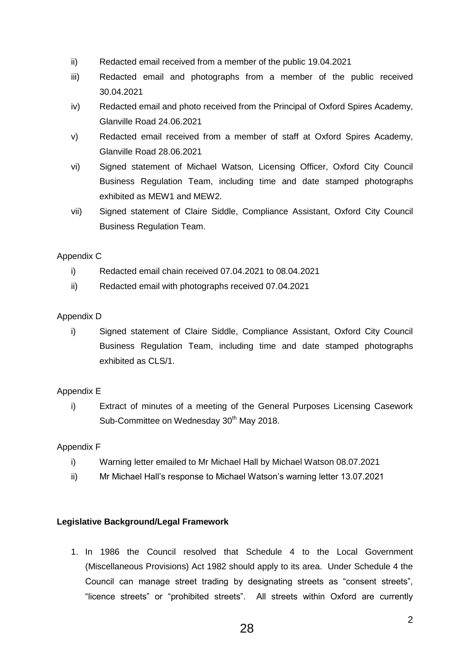- ii) Redacted email received from a member of the public 19.04.2021
- iii) Redacted email and photographs from a member of the public received 30.04.2021
- iv) Redacted email and photo received from the Principal of Oxford Spires Academy, Glanville Road 24.06.2021
- v) Redacted email received from a member of staff at Oxford Spires Academy, Glanville Road 28.06.2021
- vi) Signed statement of Michael Watson, Licensing Officer, Oxford City Council Business Regulation Team, including time and date stamped photographs exhibited as MEW1 and MEW2.
- vii) Signed statement of Claire Siddle, Compliance Assistant, Oxford City Council Business Regulation Team.

## Appendix C

- i) Redacted email chain received 07.04.2021 to 08.04.2021
- ii) Redacted email with photographs received 07.04.2021

## Appendix D

i) Signed statement of Claire Siddle, Compliance Assistant, Oxford City Council Business Regulation Team, including time and date stamped photographs exhibited as CLS/1.

## Appendix E

i) Extract of minutes of a meeting of the General Purposes Licensing Casework Sub-Committee on Wednesday 30<sup>th</sup> May 2018.

## Appendix F

- i) Warning letter emailed to Mr Michael Hall by Michael Watson 08.07.2021
- ii) Mr Michael Hall's response to Michael Watson's warning letter 13.07.2021

## **Legislative Background/Legal Framework**

1. In 1986 the Council resolved that Schedule 4 to the Local Government (Miscellaneous Provisions) Act 1982 should apply to its area. Under Schedule 4 the Council can manage street trading by designating streets as "consent streets", "licence streets" or "prohibited streets". All streets within Oxford are currently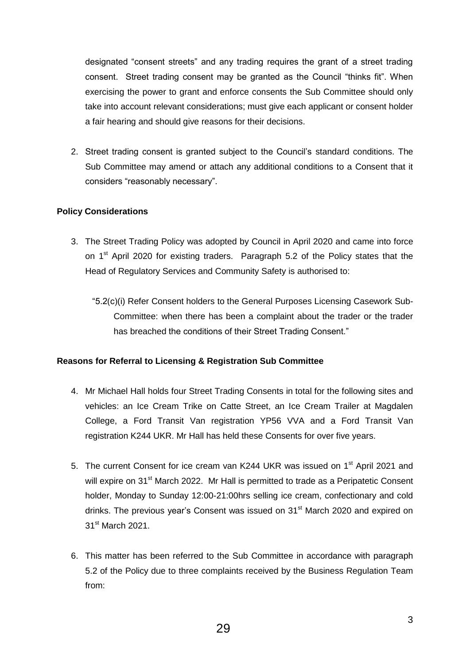designated "consent streets" and any trading requires the grant of a street trading consent. Street trading consent may be granted as the Council "thinks fit". When exercising the power to grant and enforce consents the Sub Committee should only take into account relevant considerations; must give each applicant or consent holder a fair hearing and should give reasons for their decisions.

2. Street trading consent is granted subject to the Council's standard conditions. The Sub Committee may amend or attach any additional conditions to a Consent that it considers "reasonably necessary".

### **Policy Considerations**

- 3. The Street Trading Policy was adopted by Council in April 2020 and came into force on 1<sup>st</sup> April 2020 for existing traders. Paragraph 5.2 of the Policy states that the Head of Regulatory Services and Community Safety is authorised to:
	- "5.2(c)(i) Refer Consent holders to the General Purposes Licensing Casework Sub-Committee: when there has been a complaint about the trader or the trader has breached the conditions of their Street Trading Consent."

#### **Reasons for Referral to Licensing & Registration Sub Committee**

- 4. Mr Michael Hall holds four Street Trading Consents in total for the following sites and vehicles: an Ice Cream Trike on Catte Street, an Ice Cream Trailer at Magdalen College, a Ford Transit Van registration YP56 VVA and a Ford Transit Van registration K244 UKR. Mr Hall has held these Consents for over five years.
- 5. The current Consent for ice cream van K244 UKR was issued on 1<sup>st</sup> April 2021 and will expire on  $31<sup>st</sup>$  March 2022. Mr Hall is permitted to trade as a Peripatetic Consent holder, Monday to Sunday 12:00-21:00hrs selling ice cream, confectionary and cold drinks. The previous year's Consent was issued on 31<sup>st</sup> March 2020 and expired on 31<sup>st</sup> March 2021.
- 6. This matter has been referred to the Sub Committee in accordance with paragraph 5.2 of the Policy due to three complaints received by the Business Regulation Team from: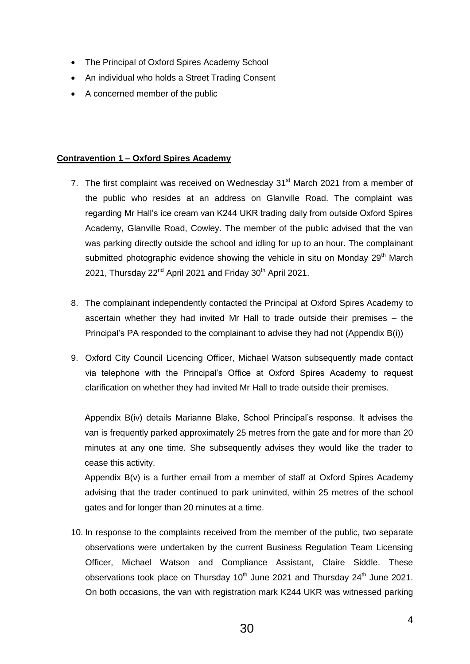- The Principal of Oxford Spires Academy School
- An individual who holds a Street Trading Consent
- A concerned member of the public

# **Contravention 1 – Oxford Spires Academy**

- 7. The first complaint was received on Wednesday  $31<sup>st</sup>$  March 2021 from a member of the public who resides at an address on Glanville Road. The complaint was regarding Mr Hall's ice cream van K244 UKR trading daily from outside Oxford Spires Academy, Glanville Road, Cowley. The member of the public advised that the van was parking directly outside the school and idling for up to an hour. The complainant submitted photographic evidence showing the vehicle in situ on Monday  $29<sup>th</sup>$  March 2021, Thursday  $22^{nd}$  April 2021 and Friday 30<sup>th</sup> April 2021.
- 8. The complainant independently contacted the Principal at Oxford Spires Academy to ascertain whether they had invited Mr Hall to trade outside their premises – the Principal's PA responded to the complainant to advise they had not (Appendix B(i))
- 9. Oxford City Council Licencing Officer, Michael Watson subsequently made contact via telephone with the Principal's Office at Oxford Spires Academy to request clarification on whether they had invited Mr Hall to trade outside their premises.

Appendix B(iv) details Marianne Blake, School Principal's response. It advises the van is frequently parked approximately 25 metres from the gate and for more than 20 minutes at any one time. She subsequently advises they would like the trader to cease this activity.

Appendix B(v) is a further email from a member of staff at Oxford Spires Academy advising that the trader continued to park uninvited, within 25 metres of the school gates and for longer than 20 minutes at a time.

10. In response to the complaints received from the member of the public, two separate observations were undertaken by the current Business Regulation Team Licensing Officer, Michael Watson and Compliance Assistant, Claire Siddle. These observations took place on Thursday  $10<sup>th</sup>$  June 2021 and Thursday 24<sup>th</sup> June 2021. On both occasions, the van with registration mark K244 UKR was witnessed parking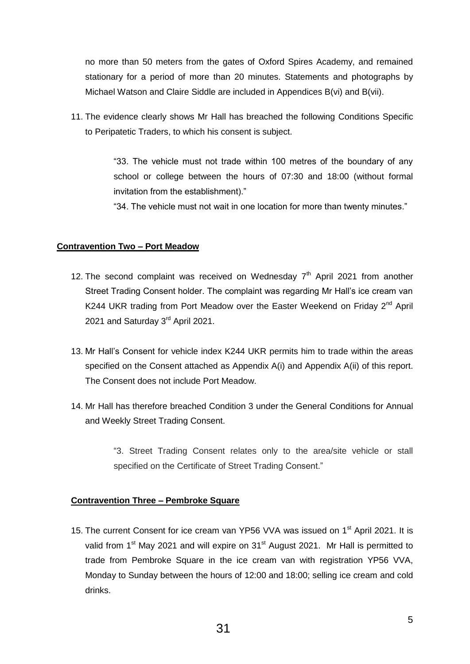no more than 50 meters from the gates of Oxford Spires Academy, and remained stationary for a period of more than 20 minutes. Statements and photographs by Michael Watson and Claire Siddle are included in Appendices B(vi) and B(vii).

11. The evidence clearly shows Mr Hall has breached the following Conditions Specific to Peripatetic Traders, to which his consent is subject.

> "33. The vehicle must not trade within 100 metres of the boundary of any school or college between the hours of 07:30 and 18:00 (without formal invitation from the establishment)."

"34. The vehicle must not wait in one location for more than twenty minutes."

### **Contravention Two – Port Meadow**

- 12. The second complaint was received on Wednesday  $7<sup>th</sup>$  April 2021 from another Street Trading Consent holder. The complaint was regarding Mr Hall's ice cream van K244 UKR trading from Port Meadow over the Easter Weekend on Fridav 2<sup>nd</sup> April 2021 and Saturday 3<sup>rd</sup> April 2021.
- 13. Mr Hall's Consent for vehicle index K244 UKR permits him to trade within the areas specified on the Consent attached as Appendix A(i) and Appendix A(ii) of this report. The Consent does not include Port Meadow.
- 14. Mr Hall has therefore breached Condition 3 under the General Conditions for Annual and Weekly Street Trading Consent.

"3. Street Trading Consent relates only to the area/site vehicle or stall specified on the Certificate of Street Trading Consent."

#### **Contravention Three – Pembroke Square**

15. The current Consent for ice cream van YP56 VVA was issued on 1<sup>st</sup> April 2021. It is valid from 1<sup>st</sup> May 2021 and will expire on 31<sup>st</sup> August 2021. Mr Hall is permitted to trade from Pembroke Square in the ice cream van with registration YP56 VVA, Monday to Sunday between the hours of 12:00 and 18:00; selling ice cream and cold drinks.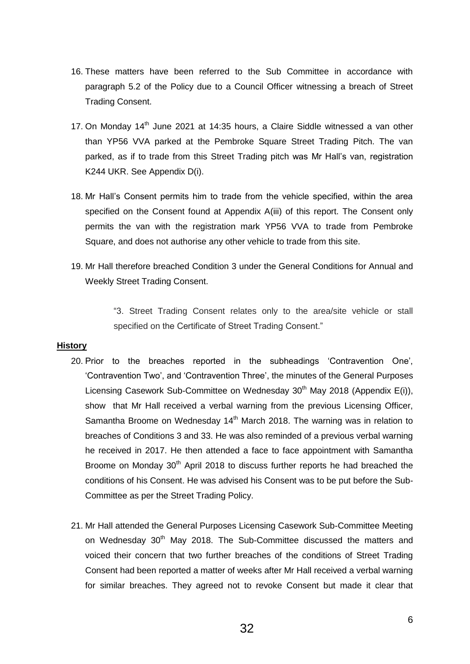- 16. These matters have been referred to the Sub Committee in accordance with paragraph 5.2 of the Policy due to a Council Officer witnessing a breach of Street Trading Consent.
- 17. On Monday  $14<sup>th</sup>$  June 2021 at 14:35 hours, a Claire Siddle witnessed a van other than YP56 VVA parked at the Pembroke Square Street Trading Pitch. The van parked, as if to trade from this Street Trading pitch was Mr Hall's van, registration K244 UKR. See Appendix D(i).
- 18. Mr Hall's Consent permits him to trade from the vehicle specified, within the area specified on the Consent found at Appendix A(iii) of this report. The Consent only permits the van with the registration mark YP56 VVA to trade from Pembroke Square, and does not authorise any other vehicle to trade from this site.
- 19. Mr Hall therefore breached Condition 3 under the General Conditions for Annual and Weekly Street Trading Consent.

"3. Street Trading Consent relates only to the area/site vehicle or stall specified on the Certificate of Street Trading Consent."

#### **History**

- 20. Prior to the breaches reported in the subheadings 'Contravention One', 'Contravention Two', and 'Contravention Three', the minutes of the General Purposes Licensing Casework Sub-Committee on Wednesday 30<sup>th</sup> May 2018 (Appendix E(i)), show that Mr Hall received a verbal warning from the previous Licensing Officer, Samantha Broome on Wednesday 14<sup>th</sup> March 2018. The warning was in relation to breaches of Conditions 3 and 33. He was also reminded of a previous verbal warning he received in 2017. He then attended a face to face appointment with Samantha Broome on Monday 30<sup>th</sup> April 2018 to discuss further reports he had breached the conditions of his Consent. He was advised his Consent was to be put before the Sub-Committee as per the Street Trading Policy.
- 21. Mr Hall attended the General Purposes Licensing Casework Sub-Committee Meeting on Wednesday 30<sup>th</sup> May 2018. The Sub-Committee discussed the matters and voiced their concern that two further breaches of the conditions of Street Trading Consent had been reported a matter of weeks after Mr Hall received a verbal warning for similar breaches. They agreed not to revoke Consent but made it clear that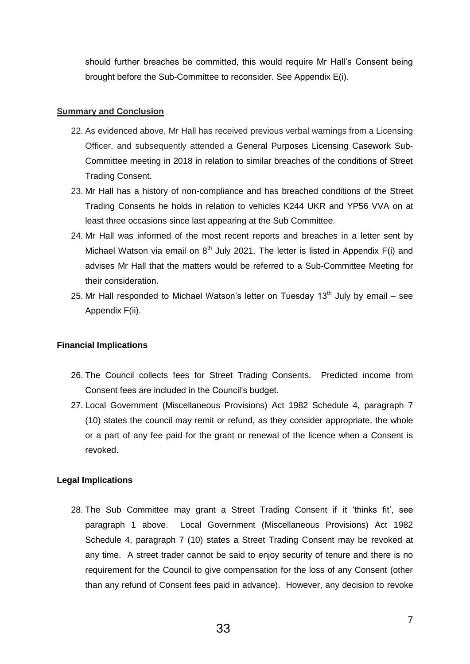should further breaches be committed, this would require Mr Hall's Consent being brought before the Sub-Committee to reconsider. See Appendix E(i).

#### **Summary and Conclusion**

- 22. As evidenced above, Mr Hall has received previous verbal warnings from a Licensing Officer, and subsequently attended a General Purposes Licensing Casework Sub-Committee meeting in 2018 in relation to similar breaches of the conditions of Street Trading Consent.
- 23. Mr Hall has a history of non-compliance and has breached conditions of the Street Trading Consents he holds in relation to vehicles K244 UKR and YP56 VVA on at least three occasions since last appearing at the Sub Committee.
- 24. Mr Hall was informed of the most recent reports and breaches in a letter sent by Michael Watson via email on  $8<sup>th</sup>$  July 2021. The letter is listed in Appendix F(i) and advises Mr Hall that the matters would be referred to a Sub-Committee Meeting for their consideration.
- 25. Mr Hall responded to Michael Watson's letter on Tuesday  $13<sup>th</sup>$  July by email see Appendix F(ii).

## **Financial Implications**

- 26. The Council collects fees for Street Trading Consents. Predicted income from Consent fees are included in the Council's budget.
- 27. Local Government (Miscellaneous Provisions) Act 1982 Schedule 4, paragraph 7 (10) states the council may remit or refund, as they consider appropriate, the whole or a part of any fee paid for the grant or renewal of the licence when a Consent is revoked.

## **Legal Implications**

28. The Sub Committee may grant a Street Trading Consent if it 'thinks fit', see paragraph 1 above. Local Government (Miscellaneous Provisions) Act 1982 Schedule 4, paragraph 7 (10) states a Street Trading Consent may be revoked at any time. A street trader cannot be said to enjoy security of tenure and there is no requirement for the Council to give compensation for the loss of any Consent (other than any refund of Consent fees paid in advance). However, any decision to revoke